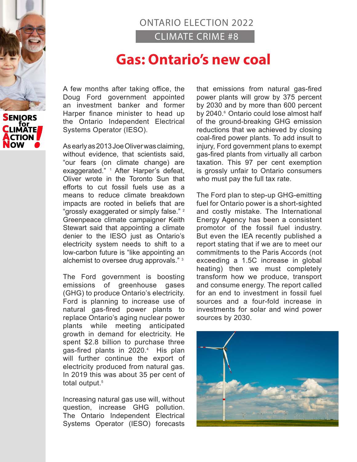## ONTARIO ELECTION 2022 CLIMATE CRIME #8

## **Gas: Ontario's new coal**

A few months after taking office, the Doug Ford government appointed an investment banker and former Harper finance minister to head up the Ontario Independent Electrical Systems Operator (IESO).

As early as 2013 Joe Oliver was claiming, without evidence, that scientists said, "our fears (on climate change) are exaggerated." <sup>1</sup> After Harper's defeat, Oliver wrote in the Toronto Sun that efforts to cut fossil fuels use as a means to reduce climate breakdown impacts are rooted in beliefs that are "grossly exaggerated or simply false."<sup>2</sup> Greenpeace climate campaigner Keith Stewart said that appointing a climate denier to the IESO just as Ontario's electricity system needs to shift to a low-carbon future is "like appointing an alchemist to oversee drug approvals." <sup>3</sup>

The Ford government is boosting emissions of greenhouse gases (GHG) to produce Ontario's electricity. Ford is planning to increase use of natural gas-fired power plants to replace Ontario's aging nuclear power plants while meeting anticipated growth in demand for electricity. He spent \$2.8 billion to purchase three gas-fired plants in 2020.<sup>4</sup> His plan will further continue the export of electricity produced from natural gas. In 2019 this was about 35 per cent of total output.<sup>5</sup>

Increasing natural gas use will, without question, increase GHG pollution. The Ontario Independent Electrical Systems Operator (IESO) forecasts

that emissions from natural gas-fired power plants will grow by 375 percent by 2030 and by more than 600 percent by 2040.<sup>6</sup> Ontario could lose almost half of the ground-breaking GHG emission reductions that we achieved by closing coal-fired power plants. To add insult to injury, Ford government plans to exempt gas-fired plants from virtually all carbon taxation. This 97 per cent exemption is grossly unfair to Ontario consumers who must pay the full tax rate.

The Ford plan to step-up GHG-emitting fuel for Ontario power is a short-sighted and costly mistake. The International Energy Agency has been a consistent promotor of the fossil fuel industry. But even the IEA recently published a report stating that if we are to meet our commitments to the Paris Accords (not exceeding a 1.5C increase in global heating) then we must completely transform how we produce, transport and consume energy. The report called for an end to investment in fossil fuel sources and a four-fold increase in investments for solar and wind power sources by 2030.